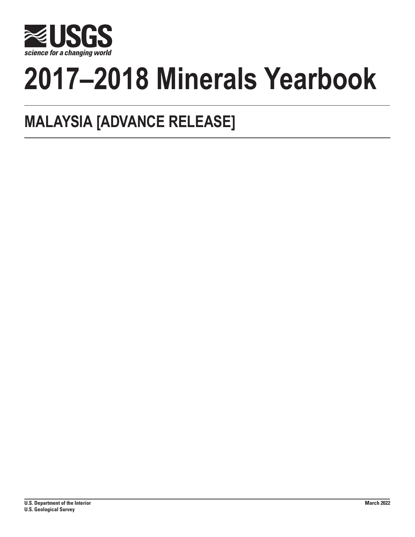

# **2017–2018 Minerals Yearbook**

## **MALAYSIA [ADVANCE RELEASE]**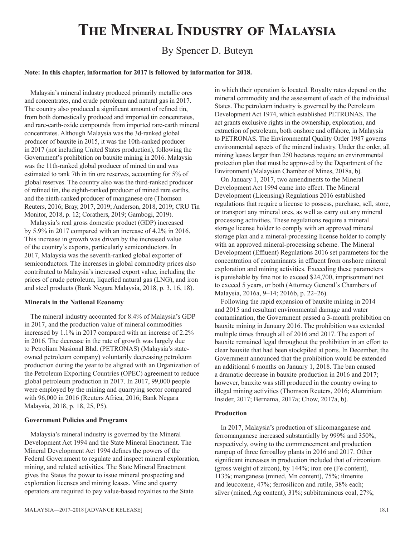## **The Mineral Industry of Malaysia**

### By Spencer D. Buteyn

#### **Note: In this chapter, information for 2017 is followed by information for 2018.**

Malaysia's mineral industry produced primarily metallic ores and concentrates, and crude petroleum and natural gas in 2017. The country also produced a significant amount of refined tin, from both domestically produced and imported tin concentrates, and rare-earth-oxide compounds from imported rare-earth mineral concentrates. Although Malaysia was the 3d-ranked global producer of bauxite in 2015, it was the 10th-ranked producer in 2017 (not including United States production), following the Government's prohibition on bauxite mining in 2016. Malaysia was the 11th-ranked global producer of mined tin and was estimated to rank 7th in tin ore reserves, accounting for 5% of global reserves. The country also was the third-ranked producer of refined tin, the eighth-ranked producer of mined rare earths, and the ninth-ranked producer of manganese ore (Thomson Reuters, 2016; Bray, 2017, 2019; Anderson, 2018, 2019; CRU Tin Monitor, 2018, p. 12; Corathers, 2019; Gambogi, 2019).

Malaysia's real gross domestic product (GDP) increased by 5.9% in 2017 compared with an increase of 4.2% in 2016. This increase in growth was driven by the increased value of the country's exports, particularly semiconductors. In 2017, Malaysia was the seventh-ranked global exporter of semiconductors. The increases in global commodity prices also contributed to Malaysia's increased export value, including the prices of crude petroleum, liquefied natural gas (LNG), and iron and steel products (Bank Negara Malaysia, 2018, p. 3, 16, 18).

#### **Minerals in the National Economy**

The mineral industry accounted for 8.4% of Malaysia's GDP in 2017, and the production value of mineral commodities increased by 1.1% in 2017 compared with an increase of 2.2% in 2016. The decrease in the rate of growth was largely due to Petroliam Nasional Bhd. (PETRONAS) (Malaysia's stateowned petroleum company) voluntarily decreasing petroleum production during the year to be aligned with an Organization of the Petroleum Exporting Countries (OPEC) agreement to reduce global petroleum production in 2017. In 2017, 99,000 people were employed by the mining and quarrying sector compared with 96,000 in 2016 (Reuters Africa, 2016; Bank Negara Malaysia, 2018, p. 18, 25, P5).

#### **Government Policies and Programs**

Malaysia's mineral industry is governed by the Mineral Development Act 1994 and the State Mineral Enactment. The Mineral Development Act 1994 defines the powers of the Federal Government to regulate and inspect mineral exploration, mining, and related activities. The State Mineral Enactment gives the States the power to issue mineral prospecting and exploration licenses and mining leases. Mine and quarry operators are required to pay value-based royalties to the State

in which their operation is located. Royalty rates depend on the mineral commodity and the assessment of each of the individual States. The petroleum industry is governed by the Petroleum Development Act 1974, which established PETRONAS. The act grants exclusive rights in the ownership, exploration, and extraction of petroleum, both onshore and offshore, in Malaysia to PETRONAS. The Environmental Quality Order 1987 governs environmental aspects of the mineral industry. Under the order, all mining leases larger than 250 hectares require an environmental protection plan that must be approved by the Department of the Environment (Malaysian Chamber of Mines, 2018a, b).

On January 1, 2017, two amendments to the Mineral Development Act 1994 came into effect. The Mineral Development (Licensing) Regulations 2016 established regulations that require a license to possess, purchase, sell, store, or transport any mineral ores, as well as carry out any mineral processing activities. These regulations require a mineral storage license holder to comply with an approved mineral storage plan and a mineral-processing license holder to comply with an approved mineral-processing scheme. The Mineral Development (Effluent) Regulations 2016 set parameters for the concentration of contaminants in effluent from onshore mineral exploration and mining activities. Exceeding these parameters is punishable by fine not to exceed \$24,700, imprisonment not to exceed 5 years, or both (Attorney General's Chambers of Malaysia, 2016a, 9–14; 2016b, p. 22–26).

Following the rapid expansion of bauxite mining in 2014 and 2015 and resultant environmental damage and water contamination, the Government passed a 3-month prohibition on bauxite mining in January 2016. The prohibition was extended multiple times through all of 2016 and 2017. The export of bauxite remained legal throughout the prohibition in an effort to clear bauxite that had been stockpiled at ports. In December, the Government announced that the prohibition would be extended an additional 6 months on January 1, 2018. The ban caused a dramatic decrease in bauxite production in 2016 and 2017; however, bauxite was still produced in the country owing to illegal mining activities (Thomson Reuters, 2016; Aluminium Insider, 2017; Bernama, 2017a; Chow, 2017a, b).

#### **Production**

In 2017, Malaysia's production of silicomanganese and ferromanganese increased substantially by 999% and 350%, respectively, owing to the commencement and production rampup of three ferroalloy plants in 2016 and 2017. Other significant increases in production included that of zirconium (gross weight of zircon), by 144%; iron ore (Fe content), 113%; manganese (mined, Mn content), 75%; ilmenite and leucoxene, 47%; ferrosilicon and rutile, 38% each; silver (mined, Ag content), 31%; subbituminous coal, 27%;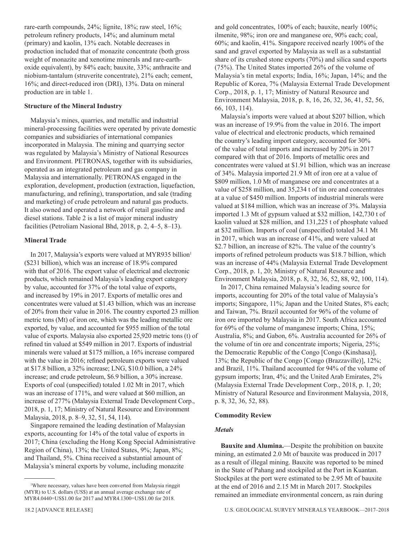rare-earth compounds, 24%; lignite, 18%; raw steel, 16%; petroleum refinery products, 14%; and aluminum metal (primary) and kaolin, 13% each. Notable decreases in production included that of monazite concentrate (both gross weight of monazite and xenotime minerals and rare-earthoxide equivalent), by 84% each; bauxite, 33%; anthracite and niobium-tantalum (struverite concentrate), 21% each; cement, 16%; and direct-reduced iron (DRI), 13%. Data on mineral production are in table 1.

#### **Structure of the Mineral Industry**

Malaysia's mines, quarries, and metallic and industrial mineral-processing facilities were operated by private domestic companies and subsidiaries of international companies incorporated in Malaysia. The mining and quarrying sector was regulated by Malaysia's Ministry of National Resources and Environment. PETRONAS, together with its subsidiaries, operated as an integrated petroleum and gas company in Malaysia and internationally. PETRONAS engaged in the exploration, development, production (extraction, liquefaction, manufacturing, and refining), transportation, and sale (trading and marketing) of crude petroleum and natural gas products. It also owned and operated a network of retail gasoline and diesel stations. Table 2 is a list of major mineral industry facilities (Petroliam Nasional Bhd, 2018, p. 2, 4–5, 8–13).

#### **Mineral Trade**

In 2017, Malaysia's exports were valued at MYR935 billion<sup>1</sup> (\$231 billion), which was an increase of 18.9% compared with that of 2016. The export value of electrical and electronic products, which remained Malaysia's leading export category by value, accounted for 37% of the total value of exports, and increased by 19% in 2017. Exports of metallic ores and concentrates were valued at \$1.43 billion, which was an increase of 20% from their value in 2016. The country exported 23 million metric tons (Mt) of iron ore, which was the leading metallic ore exported, by value, and accounted for \$955 million of the total value of exports. Malaysia also exported 25,920 metric tons (t) of refined tin valued at \$549 million in 2017. Exports of industrial minerals were valued at \$175 million, a 16% increase compared with the value in 2016; refined petroleum exports were valued at \$17.8 billion, a 32% increase; LNG, \$10.0 billion, a 24% increase; and crude petroleum, \$6.9 billion, a 30% increase. Exports of coal (unspecified) totaled 1.02 Mt in 2017, which was an increase of 171%, and were valued at \$60 million, an increase of 277% (Malaysia External Trade Development Corp., 2018, p. 1, 17; Ministry of Natural Resource and Environment Malaysia, 2018, p. 8–9, 32, 51, 54, 114).

Singapore remained the leading destination of Malaysian exports, accounting for 14% of the total value of exports in 2017; China (excluding the Hong Kong Special Administrative Region of China), 13%; the United States, 9%; Japan, 8%; and Thailand, 5%. China received a substantial amount of Malaysia's mineral exports by volume, including monazite

and gold concentrates, 100% of each; bauxite, nearly 100%; ilmenite, 98%; iron ore and manganese ore, 90% each; coal, 60%; and kaolin, 41%. Singapore received nearly 100% of the sand and gravel exported by Malaysia as well as a substantial share of its crushed stone exports (70%) and silica sand exports (75%). The United States imported 26% of the volume of Malaysia's tin metal exports; India, 16%; Japan, 14%; and the Republic of Korea, 7% (Malaysia External Trade Development Corp., 2018, p. 1, 17; Ministry of Natural Resource and Environment Malaysia, 2018, p. 8, 16, 26, 32, 36, 41, 52, 56, 66, 103, 114).

Malaysia's imports were valued at about \$207 billion, which was an increase of 19.9% from the value in 2016. The import value of electrical and electronic products, which remained the country's leading import category, accounted for 30% of the value of total imports and increased by 20% in 2017 compared with that of 2016. Imports of metallic ores and concentrates were valued at \$1.91 billion, which was an increase of 34%. Malaysia imported 21.9 Mt of iron ore at a value of \$809 million, 1.0 Mt of manganese ore and concentrates at a value of \$258 million, and 35,234 t of tin ore and concentrates at a value of \$450 million. Imports of industrial minerals were valued at \$184 million, which was an increase of 3%. Malaysia imported 1.3 Mt of gypsum valued at \$32 million, 142,730 t of kaolin valued at \$28 million, and 131,225 t of phosphate valued at \$32 million. Imports of coal (unspecified) totaled 34.1 Mt in 2017, which was an increase of 41%, and were valued at \$2.7 billion, an increase of 82%. The value of the country's imports of refined petroleum products was \$18.7 billion, which was an increase of 44% (Malaysia External Trade Development Corp., 2018, p. 1, 20; Ministry of Natural Resource and Environment Malaysia, 2018, p. 8, 32, 36, 52, 88, 92, 100, 114).

In 2017, China remained Malaysia's leading source for imports, accounting for 20% of the total value of Malaysia's imports; Singapore, 11%; Japan and the United States, 8% each; and Taiwan, 7%. Brazil accounted for 96% of the volume of iron ore imported by Malaysia in 2017. South Africa accounted for 69% of the volume of manganese imports; China, 15%; Australia, 8%; and Gabon, 6%. Australia accounted for 26% of the volume of tin ore and concentrate imports; Nigeria, 25%; the Democratic Republic of the Congo [Congo (Kinshasa)], 13%; the Republic of the Congo [Congo (Brazzaville)], 12%; and Brazil, 11%. Thailand accounted for 94% of the volume of gypsum imports; Iran, 4%; and the United Arab Emirates, 2% (Malaysia External Trade Development Corp., 2018, p. 1, 20; Ministry of Natural Resource and Environment Malaysia, 2018, p. 8, 32, 36, 52, 88).

#### **Commodity Review**

#### *Metals*

**Bauxite and Alumina.**—Despite the prohibition on bauxite mining, an estimated 2.0 Mt of bauxite was produced in 2017 as a result of illegal mining. Bauxite was reported to be mined in the State of Pahang and stockpiled at the Port in Kuantan. Stockpiles at the port were estimated to be 2.95 Mt of bauxite at the end of 2016 and 2.15 Mt in March 2017. Stockpiles remained an immediate environmental concern, as rain during

<sup>1</sup> Where necessary, values have been converted from Malaysia ringgit (MYR) to U.S. dollars (US\$) at an annual average exchange rate of MYR4.0440=US\$1.00 for 2017 and MYR4.1300=US\$1.00 for 2018.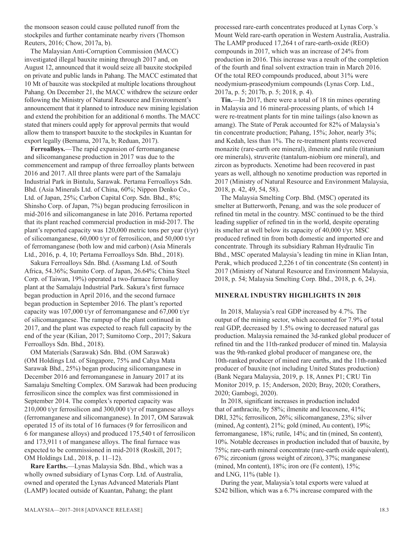the monsoon season could cause polluted runoff from the stockpiles and further contaminate nearby rivers (Thomson Reuters, 2016; Chow, 2017a, b).

The Malaysian Anti-Corruption Commission (MACC) investigated illegal bauxite mining through 2017 and, on August 12, announced that it would seize all bauxite stockpiled on private and public lands in Pahang. The MACC estimated that 10 Mt of bauxite was stockpiled at multiple locations throughout Pahang. On December 21, the MACC withdrew the seizure order following the Ministry of Natural Resource and Environment's announcement that it planned to introduce new mining legislation and extend the prohibition for an additional 6 months. The MACC stated that miners could apply for approval permits that would allow them to transport bauxite to the stockpiles in Kuantan for export legally (Bernama, 2017a, b; Reduan, 2017).

**Ferroalloys.**—The rapid expansion of ferromanganese and silicomanganese production in 2017 was due to the commencement and rampup of three ferroalloy plants between 2016 and 2017. All three plants were part of the Samalaju Industrial Park in Bintulu, Sarawak. Pertama Ferroalloys Sdn. Bhd. (Asia Minerals Ltd. of China, 60%; Nippon Denko Co., Ltd. of Japan, 25%; Carbon Capital Corp. Sdn. Bhd., 8%; Shinsho Corp. of Japan, 7%) began producing ferrosilicon in mid-2016 and silicomanganese in late 2016. Pertama reported that its plant reached commercial production in mid-2017. The plant's reported capacity was  $120,000$  metric tons per year (t/yr) of silicomanganese, 60,000 t/yr of ferrosilicon, and 50,000 t/yr of ferromanganese (both low and mid carbon) (Asia Minerals Ltd., 2016, p. 4, 10; Pertama Ferroalloys Sdn. Bhd., 2018).

Sakura Ferroalloys Sdn. Bhd. (Assmang Ltd. of South Africa, 54.36%; Sumito Corp. of Japan, 26.64%; China Steel Corp. of Taiwan, 19%) operated a two-furnace ferroalloy plant at the Samalaju Industrial Park. Sakura's first furnace began production in April 2016, and the second furnace began production in September 2016. The plant's reported capacity was 107,000 t/yr of ferromanganese and 67,000 t/yr of silicomanganese. The rampup of the plant continued in 2017, and the plant was expected to reach full capacity by the end of the year (Kilian, 2017; Sumitomo Corp., 2017; Sakura Ferroalloys Sdn. Bhd., 2018).

OM Materials (Sarawak) Sdn. Bhd. (OM Sarawak) (OM Holdings Ltd. of Singapore, 75% and Cahya Mata Sarawak Bhd., 25%) began producing silicomanganese in December 2016 and ferromanganese in January 2017 at its Samalaju Smelting Complex. OM Sarawak had been producing ferrosilicon since the complex was first commissioned in September 2014. The complex's reported capacity was 210,000 t/yr ferrosilicon and 300,000 t/yr of manganese alloys (ferromanganese and silicomanganese). In 2017, OM Sarawak operated 15 of its total of 16 furnaces (9 for ferrosilicon and 6 for manganese alloys) and produced 175,540 t of ferrosilicon and 173,911 t of manganese alloys. The final furnace was expected to be commissioned in mid-2018 (Roskill, 2017; OM Holdings Ltd., 2018, p. 11–12).

**Rare Earths.**—Lynas Malaysia Sdn. Bhd., which was a wholly owned subsidiary of Lynas Corp. Ltd. of Australia, owned and operated the Lynas Advanced Materials Plant (LAMP) located outside of Kuantan, Pahang; the plant

processed rare-earth concentrates produced at Lynas Corp.'s Mount Weld rare-earth operation in Western Australia, Australia. The LAMP produced 17,264 t of rare-earth-oxide (REO) compounds in 2017, which was an increase of 24% from production in 2016. This increase was a result of the completion of the fourth and final solvent extraction train in March 2016. Of the total REO compounds produced, about 31% were neodymium-praseodymium compounds (Lynas Corp. Ltd., 2017a, p. 5; 2017b, p. 5; 2018, p. 4).

**Tin.**—In 2017, there were a total of 18 tin mines operating in Malaysia and 16 mineral-processing plants, of which 14 were re-treatment plants for tin mine tailings (also known as amang). The State of Perak accounted for 82% of Malaysia's tin concentrate production; Pahang, 15%; Johor, nearly 3%; and Kedah, less than 1%. The re-treatment plants recovered monazite (rare-earth ore mineral), ilmenite and rutile (titanium ore minerals), struverite (tantalum-niobium ore mineral), and zircon as byproducts. Xenotime had been recovered in past years as well, although no xenotime production was reported in 2017 (Ministry of Natural Resource and Environment Malaysia, 2018, p. 42, 49, 54, 58).

The Malaysia Smelting Corp. Bhd. (MSC) operated its smelter at Butterworth, Penang, and was the sole producer of refined tin metal in the country. MSC continued to be the third leading supplier of refined tin in the world, despite operating its smelter at well below its capacity of 40,000 t/yr. MSC produced refined tin from both domestic and imported ore and concentrate. Through its subsidiary Rahman Hydraulic Tin Bhd., MSC operated Malaysia's leading tin mine in Klian Intan, Perak, which produced 2,226 t of tin concentrate (Sn content) in 2017 (Ministry of Natural Resource and Environment Malaysia, 2018, p. 54; Malaysia Smelting Corp. Bhd., 2018, p. 6, 24).

#### **MINERAL INDUSTRY HIGHLIGHTS IN 2018**

In 2018, Malaysia's real GDP increased by 4.7%. The output of the mining sector, which accounted for 7.9% of total real GDP, decreased by 1.5% owing to decreased natural gas production. Malaysia remained the 3d-ranked global producer of refined tin and the 11th-ranked producer of mined tin. Malaysia was the 9th-ranked global producer of manganese ore, the 10th-ranked producer of mined rare earths, and the 11th-ranked producer of bauxite (not including United States production) (Bank Negara Malaysia, 2019, p. 18, Annex P1; CRU Tin Monitor 2019, p. 15; Anderson, 2020; Bray, 2020; Corathers, 2020; Gambogi, 2020).

In 2018, significant increases in production included that of anthracite, by 58%; ilmenite and leucoxene, 41%; DRI, 32%; ferrosilicon, 26%; silicomanganese, 23%; silver (mined, Ag content), 21%; gold (mined, Au content), 19%; ferromanganese, 18%; rutile, 14%; and tin (mined, Sn content), 10%. Notable decreases in production included that of bauxite, by 75%; rare-earth mineral concentrate (rare-earth oxide equivalent), 67%; zirconium (gross weight of zircon), 37%; manganese (mined, Mn content), 18%; iron ore (Fe content), 15%; and LNG, 11% (table 1).

During the year, Malaysia's total exports were valued at \$242 billion, which was a 6.7% increase compared with the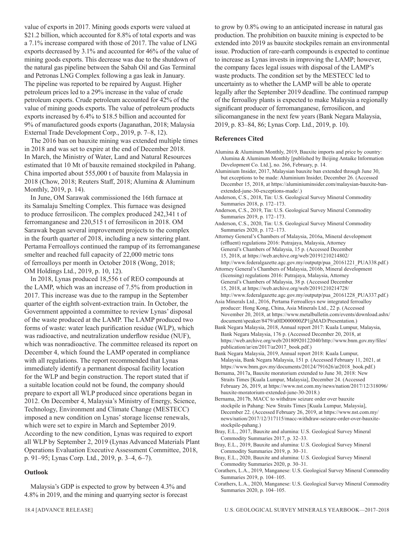value of exports in 2017. Mining goods exports were valued at \$21.2 billion, which accounted for 8.8% of total exports and was a 7.1% increase compared with those of 2017. The value of LNG exports decreased by 3.1% and accounted for 46% of the value of mining goods exports. This decrease was due to the shutdown of the natural gas pipeline between the Sabah Oil and Gas Terminal and Petronas LNG Complex following a gas leak in January. The pipeline was reported to be repaired by August. Higher petroleum prices led to a 29% increase in the value of crude petroleum exports. Crude petroleum accounted for 42% of the value of mining goods exports. The value of petroleum products exports increased by 6.4% to \$18.5 billion and accounted for 9% of manufactured goods exports (Jaganathan, 2018; Malaysia External Trade Development Corp., 2019, p. 7–8, 12).

The 2016 ban on bauxite mining was extended multiple times in 2018 and was set to expire at the end of December 2018. In March, the Ministry of Water, Land and Natural Resources estimated that 10 Mt of bauxite remained stockpiled in Pahang. China imported about 555,000 t of bauxite from Malaysia in 2018 (Chow, 2018; Reuters Staff, 2018; Alumina & Aluminum Monthly, 2019, p. 14).

In June, OM Sarawak commissioned the 16th furnace at its Samalaju Smelting Complex. This furnace was designed to produce ferrosilicon. The complex produced 242,341 t of ferromanganese and 220,515 t of ferrosilicon in 2018. OM Sarawak began several improvement projects to the complex in the fourth quarter of 2018, including a new sintering plant. Pertama Ferroalloys continued the rampup of its ferromanganese smelter and reached full capacity of 22,000 metric tons of ferroalloys per month in October 2018 (Wong, 2018; OM Holdings Ltd., 2019, p. 10, 12).

In 2018, Lynas produced 18,556 t of REO compounds at the LAMP, which was an increase of 7.5% from production in 2017. This increase was due to the rampup in the September quarter of the eighth solvent-extraction train. In October, the Government appointed a committee to review Lynas' disposal of the waste produced at the LAMP. The LAMP produced two forms of waste: water leach purification residue (WLP), which was radioactive, and neutralization underflow residue (NUF), which was nonradioactive. The committee released its report on December 4, which found the LAMP operated in compliance with all regulations. The report recommended that Lynas immediately identify a permanent disposal facility location for the WLP and begin construction. The report stated that if a suitable location could not be found, the company should prepare to export all WLP produced since operations began in 2012. On December 4, Malaysia's Ministry of Energy, Science, Technology, Environment and Climate Change (MESTECC) imposed a new condition on Lynas' storage license renewals, which were set to expire in March and September 2019. According to the new condition, Lynas was required to export all WLP by September 2, 2019 (Lynas Advanced Materials Plant Operations Evaluation Executive Assessment Committee, 2018, p. 91–95; Lynas Corp. Ltd., 2019, p. 3–4, 6–7).

#### **Outlook**

Malaysia's GDP is expected to grow by between 4.3% and 4.8% in 2019, and the mining and quarrying sector is forecast to grow by 0.8% owing to an anticipated increase in natural gas production. The prohibition on bauxite mining is expected to be extended into 2019 as bauxite stockpiles remain an environmental issue. Production of rare-earth compounds is expected to continue to increase as Lynas invests in improving the LAMP; however, the company faces legal issues with disposal of the LAMP's waste products. The condition set by the MESTECC led to uncertainty as to whether the LAMP will be able to operate legally after the September 2019 deadline. The continued rampup of the ferroalloy plants is expected to make Malaysia a regionally significant producer of ferromanganese, ferrosilicon, and silicomanganese in the next few years (Bank Negara Malaysia, 2019, p. 83–84, 86; Lynas Corp. Ltd., 2019, p. 10).

#### **References Cited**

- Alumina & Aluminum Monthly, 2019, Bauxite imports and price by country: Alumina & Aluminum Monthly [published by Beijing Antaike Information Development Co. Ltd.], no. 266, February, p. 14.
- Aluminium Insider, 2017, Malaysian bauxite ban extended through June 30, but exceptions to be made: Aluminium Insider, December 26. (Accessed December 15, 2018, at https://aluminiuminsider.com/malaysian-bauxite-banextended-june-30-exceptions-made/.)
- Anderson, C.S., 2018, Tin: U.S. Geological Survey Mineral Commodity Summaries 2018, p. 172–173.
- Anderson, C.S., 2019, Tin: U.S. Geological Survey Mineral Commodity Summaries 2019, p. 172–173.
- Anderson, C.S., 2020, Tin: U.S. Geological Survey Mineral Commodity Summaries 2020, p. 172–173.

Attorney General's Chambers of Malaysia, 2016a, Mineral development (effluent) regulations 2016: Putrajaya, Malaysia, Attorney General's Chambers of Malaysia, 15 p. (Accessed December 15, 2018, at https://web.archive.org/web/20191210214802/ http://www.federalgazette.agc.gov.my/outputp/pua\_20161221\_PUA338.pdf.)

Attorney General's Chambers of Malaysia, 2016b, Mineral development (licensing) regulations 2016: Putrajaya, Malaysia, Attorney General's Chambers of Malaysia, 38 p. (Accessed December 15, 2018, at https://web.archive.org/web/20191210214728/ http://www.federalgazette.agc.gov.my/outputp/pua\_20161228\_PUA337.pdf.)

Asia Minerals Ltd., 2016, Pertama Ferroalloys new integrated ferroalloy producer: Hong Kong, China, Asia Minerals Ltd., 22 p. (Accessed November 20, 2018, at https://www.metalbulletin.com/events/download.ashx/ document/speaker/8479/a0ID000000ZP1jjMAD/Presentation.)

- Bank Negara Malaysia, 2018, Annual report 2017: Kuala Lumpur, Malaysia, Bank Negara Malaysia, 176 p. (Accessed December 20, 2018, at https://web.archive.org/web/20180920122040/http://www.bnm.gov.my/files/ publication/ar/en/2017/ar2017\_book.pdf.)
- Bank Negara Malaysia, 2019, Annual report 2018: Kuala Lumpur, Malaysia, Bank Negara Malaysia, 151 p. (Accessed February 11, 2021, at https://www.bnm.gov.my/documents/20124/791626/ar2018\_book.pdf.)

Bernama, 2017a, Bauxite moratorium extended to June 30, 2018: New Straits Times [Kuala Lumpur, Malaysia], December 24. (Accessed February 26, 2019, at https://www.nst.com.my/news/nation/2017/12/318096/ bauxite-moratorium-extended-june-30-2018.)

Bernama, 2017b, MACC to withdraw seizure order over bauxite stockpile in Pahang: New Straits Times [Kuala Lumpur, Malaysia], December 22. (Accessed February 26, 2019, at https://www.nst.com.my/ news/nation/2017/12/317115/macc-withdraw-seizure-order-over-bauxitestockpile-pahang.)

- Bray, E.L., 2017, Bauxite and alumina: U.S. Geological Survey Mineral Commodity Summaries 2017, p. 32–33.
- Bray, E.L., 2019, Bauxite and alumina: U.S. Geological Survey Mineral Commodity Summaries 2019, p. 30–31.
- Bray, E.L., 2020, Bauxite and alumina: U.S. Geological Survey Mineral Commodity Summaries 2020, p. 30–31.
- Corathers, L.A., 2019, Manganese: U.S. Geological Survey Mineral Commodity Summaries 2019, p. 104–105.

Corathers, L.A., 2020, Manganese: U.S. Geological Survey Mineral Commodity Summaries 2020, p. 104–105.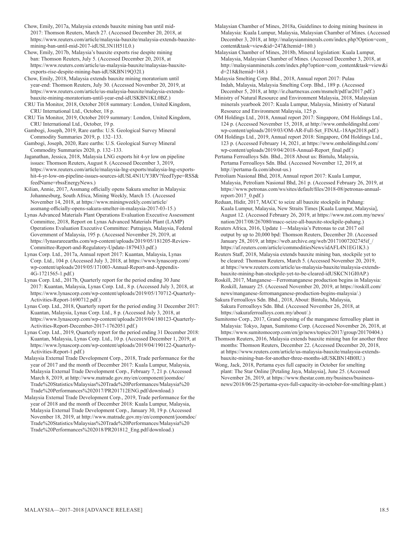Chow, Emily, 2017a, Malaysia extends bauxite mining ban until mid-2017: Thomson Reuters, March 27. (Accessed December 20, 2018, at https://www.reuters.com/article/malaysia-bauxite/malaysia-extends-bauxitemining-ban-until-mid-2017-idUSL3N1H51L0.)

Chow, Emily, 2017b, Malaysia's bauxite exports rise despite mining ban: Thomson Reuters, July 5. (Accessed December 20, 2018, at https://www.reuters.com/article/us-malaysia-bauxite/malaysias-bauxiteexports-rise-despite-mining-ban-idUSKBN19Q32I.)

Chow, Emily, 2018, Malaysia extends bauxite mining moratorium until year-end: Thomson Reuters, July 30. (Accessed November 20, 2019, at https://www.reuters.com/article/us-malaysia-bauxite/malaysia-extendsbauxite-mining-moratorium-until-year-end-idUSKBN1KL0BZ.)

CRU Tin Monitor, 2018, October 2018 summary: London, United Kingdom, CRU International Ltd., October, 18 p.

CRU Tin Monitor, 2019, October 2019 summary: London, United Kingdom, CRU International Ltd., October, 19 p.

Gambogi, Joseph, 2019, Rare earths: U.S. Geological Survey Mineral Commodity Summaries 2019, p. 132–133.

Gambogi, Joseph, 2020, Rare earths: U.S. Geological Survey Mineral Commodity Summaries 2020, p. 132–133.

Jaganathan, Jessica, 2018, Malaysia LNG exports hit 4-yr low on pipeline issues: Thomson Reuters, August 8. (Accessed December 3, 2019, https://www.reuters.com/article/malaysia-lng-exports/malaysia-lng-exportshit-4-yr-low-on-pipeline-issues-sources-idUSL4N1UY3RV?feedType=RSS& feedName=rbssEnergyNews.)

Kilian, Annie, 2017, Assmang officially opens Sakura smelter in Malaysia: Johannesburg, South Africa, Mining Weekly, March 15. (Accessed November 14, 2018, at https://www.miningweekly.com/article/ assmang-officially-opens-sakura-smelter-in-malaysia-2017-03-15.)

Lynas Advanced Materials Plant Operations Evaluation Executive Assessment Committee, 2018, Report on Lynas Advanced Materials Plant (LAMP) Operations Evaluation Executive Committee: Putrajaya, Malaysia, Federal Government of Malaysia, 195 p. (Accessed November 29, 2019, at https://lynasrareearths.com/wp-content/uploads/2019/05/181205-Review-Committee-Report-and-Regulatory-Update-1879433.pdf.)

Lynas Corp. Ltd., 2017a, Annual report 2017: Kuantan, Malaysia, Lynas Corp. Ltd., 104 p. (Accessed July 3, 2018, at https://www.lynascorp.com/ wp-content/uploads/2019/05/171003-Annual-Report-and-Appendix-4G-1721565-1.pdf.)

Lynas Corp. Ltd., 2017b, Quarterly report for the period ending 30 June 2017: Kuantan, Malaysia, Lynas Corp. Ltd., 8 p. (Accessed July 3, 2018, at https://www.lynascorp.com/wp-content/uploads/2019/05/170712-Quarterly-Activities-Report-1690712.pdf.)

Lynas Corp. Ltd., 2018, Quarterly report for the period ending 31 December 2017: Kuantan, Malaysia, Lynas Corp. Ltd., 8 p. (Accessed July 3, 2018, at https://www.lynascorp.com/wp-content/uploads/2019/04/180123-Quarterly-Activities-Report-December-2017-1762051.pdf.)

Lynas Corp. Ltd., 2019, Quarterly report for the period ending 31 December 2018: Kuantan, Malaysia, Lynas Corp. Ltd., 10 p. (Accessed December 1, 2019, at https://www.lynascorp.com/wp-content/uploads/2019/04/190122-Quarterly-Activities-Report-1.pdf.)

Malaysia External Trade Development Corp., 2018, Trade performance for the year of 2017 and the month of December 2017: Kuala Lumpur, Malaysia, Malaysia External Trade Development Corp., February 7, 21 p. (Accessed March 8, 2019, at http://www.matrade.gov.my/en/component/joomdoc/ Trade%20Statistics/Malaysias%20Trade%20Performances/Malaysia%20 Trade%20Performances%202017/PR201712ENG.pdf/download.)

Malaysia External Trade Development Corp., 2019, Trade performance for the year of 2018 and the month of December 2018: Kuala Lumpur, Malaysia, Malaysia External Trade Development Corp., January 30, 19 p. (Accessed November 18, 2019, at http://www.matrade.gov.my/en/component/joomdoc/ Trade%20Statistics/Malaysias%20Trade%20Performances/Malaysia%20 Trade%20Performances%202018/PR201812\_Eng.pdf/download.)

Malaysian Chamber of Mines, 2018a, Guidelines to doing mining business in Malaysia: Kuala Lumpur, Malaysia, Malaysian Chamber of Mines. (Accessed December 3, 2018, at http://malaysianminerals.com/index.php?Option=com\_ content&task=view&id=247&Itemid=180.)

Malaysian Chamber of Mines, 2018b, Mineral legislation: Kuala Lumpur, Malaysia, Malaysian Chamber of Mines. (Accessed December 3, 2018, at http://malaysianminerals.com/index.php?option=com\_content&task=view&i d=218&Itemid=168.)

Malaysia Smelting Corp. Bhd., 2018, Annual report 2017: Pulau Indah, Malaysia, Malaysia Smelting Corp. Bhd., 189 p. (Accessed December 5, 2018, at http://ir.chartnexus.com/msmelt/pdf/ar2017.pdf.)

Ministry of Natural Resource and Environment Malaysia, 2018, Malaysian minerals yearbook 2017: Kuala Lumpur, Malaysia, Ministry of Natural Resource and Environment Malaysia, 125 p.

OM Holdings Ltd., 2018, Annual report 2017: Singapore, OM Holdings Ltd., 124 p. (Accessed November 15, 2018, at http://www.omholdingsltd.com/ wp-content/uploads/2019/03/OM-AR-Full-Set\_FINAL-18Apr2018.pdf.)

OM Holdings Ltd., 2019, Annual report 2018: Singapore, OM Holdings Ltd., 123 p. (Accessed February 14, 2021, at https://www.omholdingsltd.com/ wp-content/uploads/2019/04/2018-Annual-Report\_final.pdf.)

Pertama Ferroalloys Sdn. Bhd., 2018 About us: Bintulu, Malaysia, Pertama Ferroalloys Sdn. Bhd. (Accessed November 12, 2019, at http://pertama-fa.com/about-us.)

Petroliam Nasional Bhd, 2018, Annual report 2017: Kuala Lumpur, Malaysia, Petroliam Nasional Bhd, 261 p. (Accessed February 26, 2019, at https://www.petronas.com/ws/sites/default/files/2018-08/petronas-annualreport- $2017$   $0.$ pdf.)

Reduan, Hidir, 2017, MACC to seize all bauxite stockpile in Pahang: Kuala Lumpur, Malaysia, New Straits Times [Kuala Lumpur, Malaysia], August 12. (Accessed February 26, 2019, at https://www.nst.com.my/news/ nation/2017/08/267080/macc-seize-all-bauxite-stockpile-pahang.)

Reuters Africa, 2016, Update 1—Malaysia's Petronas to cut 2017 oil output by up to 20,000 bpd: Thomson Reuters, December 20. (Accessed January 28, 2019, at https://web.archive.org/web/20171007202745if\_/ https://af.reuters.com/article/commoditiesNews/idAFL4N1EG1K3.)

Reuters Staff, 2018, Malaysia extends bauxite mining ban, stockpile yet to be cleared: Thomson Reuters, March 5. (Accessed November 20, 2019, at https://www.reuters.com/article/us-malaysia-bauxite/malaysia-extendsbauxite-mining-ban-stockpile-yet-to-be-cleared-idUSKCN1GI0AP.)

Roskill, 2017, Manganese—Ferromanganese production begins in Malaysia: Roskill, January 25. (Accessed November 20, 2019, at https://roskill.com/ news/manganese-ferromanganese-production-begins-malaysia/.)

Sakura Ferroalloys Sdn. Bhd., 2018, About: Bintulu, Malaysia, Sakura Ferroalloys Sdn. Bhd. (Accessed November 26, 2018, at https://sakuraferroalloys.com.my/about/.)

Sumitomo Corp., 2017, Grand opening of the manganese ferroalloy plant in Malaysia: Tokyo, Japan, Sumitomo Corp. (Accessed November 26, 2018, at https://www.sumitomocorp.com/en/jp/news/topics/2017/group/20170404.)

Thomson Reuters, 2016, Malaysia extends bauxite mining ban for another three months: Thomson Reuters, December 22. (Accessed December 20, 2018, at https://www.reuters.com/article/us-malaysia-bauxite/malaysia-extendsbauxite-mining-ban-for-another-three-months-idUSKBN14B0IU.)

Wong, Jack, 2018, Pertama eyes full capacity in October for smelting plant: The Star Online [Petaling Jaya, Malaysia], June 25. (Accessed November 26, 2019, at https://www.thestar.com.my/business/businessnews/2018/06/25/pertama-eyes-full-capacity-in-october-for-smelting-plant.)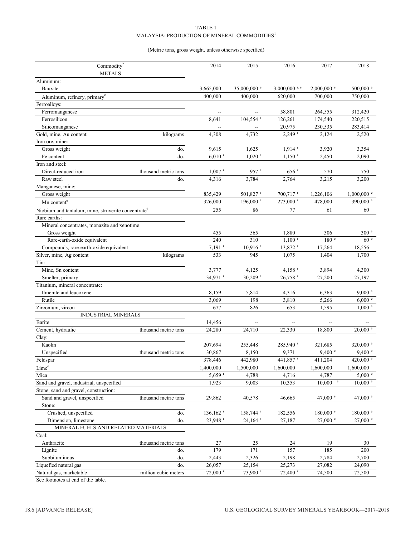#### TABLE 1

#### MALAYSIA: PRODUCTION OF MINERAL COMMODITIES $^{\rm l}$

#### (Metric tons, gross weight, unless otherwise specified)

| Commodity <sup>2</sup>                                          |                      | 2014                     | 2015                                                | 2016                   | 2017                  | 2018                  |
|-----------------------------------------------------------------|----------------------|--------------------------|-----------------------------------------------------|------------------------|-----------------------|-----------------------|
| <b>METALS</b>                                                   |                      |                          |                                                     |                        |                       |                       |
| Aluminum:                                                       |                      |                          |                                                     |                        |                       |                       |
| Bauxite                                                         |                      | 3,665,000                | 35,000,000 $^{\circ}$                               | $3,000,000$ r, e       | $2,000,000$ $\degree$ | 500,000 $^{\circ}$    |
| Aluminum, refinery, primary <sup>e</sup>                        |                      | 400,000                  | 400,000                                             | 620,000                | 700,000               | 750,000               |
| Ferroalloys:                                                    |                      |                          |                                                     |                        |                       |                       |
| Ferromanganese                                                  |                      | $\overline{\phantom{a}}$ | $\hspace{0.05cm} -\hspace{0.05cm} -\hspace{0.05cm}$ | 58,801                 | 264,555               | 312,420               |
| Ferrosilicon                                                    |                      | 8,641                    | $104,554$ <sup>r</sup>                              | 126,261                | 174,540               | 220,515               |
| Silicomanganese                                                 |                      | Ξ.                       | $\overline{\phantom{0}}$                            | 20,975                 | 230,535               | 283,414               |
| Gold, mine, Au content                                          | kilograms            | 4,308                    | 4,732                                               | $2,249$ <sup>r</sup>   | 2,124                 | 2,520                 |
| Iron ore, mine:                                                 |                      |                          |                                                     |                        |                       |                       |
| Gross weight                                                    | do.                  | 9,615                    | 1,625                                               | $1,914$ <sup>r</sup>   | 3,920                 | 3,354                 |
| Fe content                                                      | do.                  | $6,010$ <sup>r</sup>     | $1,020$ <sup>r</sup>                                | $1,150$ <sup>r</sup>   | 2,450                 | 2,090                 |
| Iron and steel:                                                 |                      |                          |                                                     |                        |                       |                       |
| Direct-reduced iron                                             | thousand metric tons | $1,007$ <sup>r</sup>     | 957 r                                               | $656$ <sup>r</sup>     | 570                   | 750                   |
| Raw steel                                                       | do.                  | 4,316                    | 3,784                                               | 2,764                  | 3,215                 | 3,200                 |
| Manganese, mine:                                                |                      |                          |                                                     |                        |                       |                       |
| Gross weight                                                    |                      | 835,429                  | 501,827 <sup>r</sup>                                | $700,717$ <sup>r</sup> | 1,226,106             | $1,000,000$ $\degree$ |
|                                                                 |                      | 326,000                  | 196,000 r                                           | 273,000 r              | 478,000               | 390,000 °             |
| Mn content <sup>e</sup>                                         |                      |                          |                                                     |                        |                       |                       |
| Niobium and tantalum, mine, struverite concentrate <sup>e</sup> |                      | 255                      | 86                                                  | 77                     | 61                    | 60                    |
| Rare earths:                                                    |                      |                          |                                                     |                        |                       |                       |
| Mineral concentrates, monazite and xenotime                     |                      |                          |                                                     |                        |                       |                       |
| Gross weight                                                    |                      | 455                      | 565                                                 | 1,880                  | 306                   | 300 e                 |
| Rare-earth-oxide equivalent                                     |                      | 240                      | 310                                                 | $1,100$ <sup>r</sup>   | 180 <sup>°</sup>      | 60 <sup>°</sup>       |
| Compounds, rare-earth-oxide equivalent                          |                      | $7,191$ <sup>r</sup>     | $10,916$ <sup>r</sup>                               | 13,872 r               | 17,264                | 18,556                |
| Silver, mine, Ag content                                        | kilograms            | 533                      | 945                                                 | 1,075                  | 1,404                 | 1,700                 |
| Tin:                                                            |                      |                          |                                                     |                        |                       |                       |
| Mine, Sn content                                                |                      | 3,777                    | 4,125                                               | $4,158$ <sup>r</sup>   | 3,894                 | 4,300                 |
| Smelter, primary                                                |                      | 34,971 r                 | 30,209 r                                            | 26,758 r               | 27,200                | 27,197                |
| Titanium, mineral concentrate:                                  |                      |                          |                                                     |                        |                       |                       |
| Ilmenite and leucoxene                                          |                      | 8,159                    | 5,814                                               | 4,316                  | 6,363                 | 9,000 °               |
| Rutile                                                          |                      | 3,069                    | 198                                                 | 3,810                  | 5,266                 | 6,000 °               |
| Zirconium, zircon                                               |                      | 677                      | 826                                                 | 653                    | 1,595                 | $1,000$ $\degree$     |
| <b>INDUSTRIAL MINERALS</b>                                      |                      |                          |                                                     |                        |                       |                       |
| Barite                                                          |                      | 14,456                   | --                                                  | $\overline{a}$         | $\overline{a}$        |                       |
| Cement, hydraulic                                               | thousand metric tons | 24,280                   | 24,710                                              | 22,330                 | 18,800                | $20,000$ $\degree$    |
| Clay:                                                           |                      |                          |                                                     |                        |                       |                       |
| Kaolin                                                          |                      | 207,694                  | 255,448                                             | 285,940 <sup>r</sup>   | 321,685               | 320,000 $^{\circ}$    |
| Unspecified                                                     | thousand metric tons | 30,867                   | 8,150                                               | 9,371                  | 9,400 °               | 9,400 °               |
| Feldspar                                                        |                      | 378,446                  | 442,980                                             | 441,857 r              | 411,204               | 420,000 $^{\circ}$    |
| Lime <sup>e</sup>                                               |                      | 1,400,000                | 1,500,000                                           | 1,600,000              | 1,600,000             | 1,600,000             |
| Mica                                                            |                      | $5,659$ <sup>r</sup>     | 4,788                                               | 4,716                  | 4,787                 | 5,000 °               |
| Sand and gravel, industrial, unspecified                        |                      | 1,923                    | 9,003                                               | 10,353                 | $10,000$ $\degree$    | $10,000$ $\degree$    |
| Stone, sand and gravel, construction:                           |                      |                          |                                                     |                        |                       |                       |
| Sand and gravel, unspecified                                    | thousand metric tons | 29,862                   | 40,578                                              | 46,665                 | 47,000 $^{\circ}$     | 47,000 $^{\circ}$     |
| Stone:                                                          |                      |                          |                                                     |                        |                       |                       |
| Crushed, unspecified                                            | do.                  | $136, 162$ <sup>r</sup>  | 158,744 $r$                                         | 182,556                | $180,000 \text{°}$    | $180,000$ $\degree$   |
| Dimension, limestone                                            | do.                  | 23,948 r                 | $24,164$ <sup>r</sup>                               | 27,187                 | $27,000$ $\degree$    | $27,000$ $\degree$    |
| MINERAL FUELS AND RELATED MATERIALS                             |                      |                          |                                                     |                        |                       |                       |
| Coal:                                                           |                      |                          |                                                     |                        |                       |                       |
| Anthracite                                                      | thousand metric tons | 27                       | 25                                                  | 24                     | 19                    | 30                    |
| Lignite                                                         | do.                  | 179                      | 171                                                 | 157                    | 185                   | 200                   |
| Subbituminous                                                   | do.                  | 2,443                    | 2,326                                               | 2,198                  | 2,784                 | 2,700                 |
| Liquefied natural gas                                           | do.                  | 26,057                   | 25,154                                              | 25,273                 | 27,082                | 24,090                |
| Natural gas, marketable                                         | million cubic meters | $72,000$ <sup>r</sup>    | 73,900 r                                            | 72,400 r               | 74,500                | 72,500                |

See footnotes at end of the table.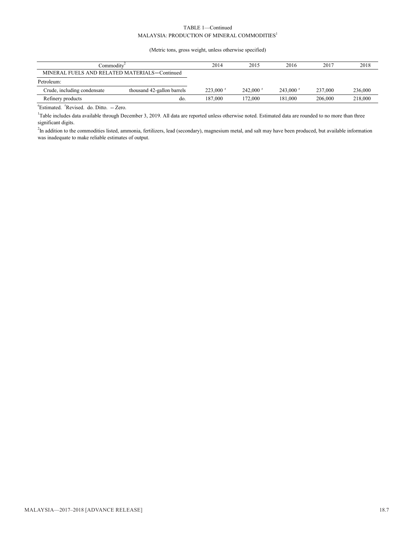#### TABLE 1—Continued  $\mathbf{MALAYSIA:}$  PRODUCTION OF MINERAL COMMODITIES  $^{\mathrm{l}}$

(Metric tons, gross weight, unless otherwise specified)

| Commodity                                     |                            | 2014                   | 2015                   | 2016                   | 2017    | 2018    |
|-----------------------------------------------|----------------------------|------------------------|------------------------|------------------------|---------|---------|
| MINERAL FUELS AND RELATED MATERIALS-Continued |                            |                        |                        |                        |         |         |
| Petroleum:                                    |                            |                        |                        |                        |         |         |
| Crude, including condensate                   | thousand 42-gallon barrels | $223.000$ <sup>r</sup> | $242.000$ <sup>r</sup> | $243,000$ <sup>r</sup> | 237,000 | 236,000 |
| Refinery products                             | do.                        | 187.000                | 172.000                | 181,000                | 206,000 | 218,000 |
| .                                             |                            |                        |                        |                        |         |         |

<sup>e</sup>Estimated. <sup>r</sup>Revised. do. Ditto. -- Zero.

<sup>1</sup>Table includes data available through December 3, 2019. All data are reported unless otherwise noted. Estimated data are rounded to no more than three significant digits.

<sup>2</sup>In addition to the commodities listed, ammonia, fertilizers, lead (secondary), magnesium metal, and salt may have been produced, but available information was inadequate to make reliable estimates of output.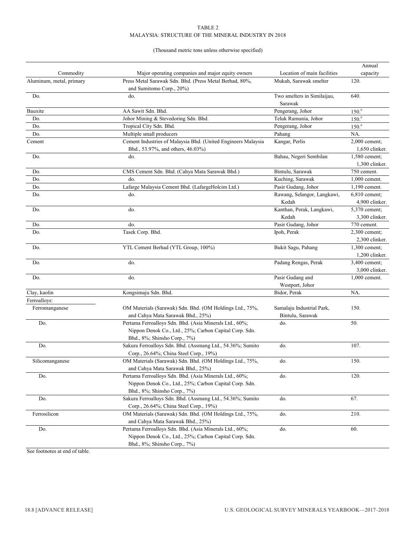#### TABLE 2 MALAYSIA: STRUCTURE OF THE MINERAL INDUSTRY IN 2018

#### (Thousand metric tons unless otherwise specified)

|                          |                                                                                                                                                   |                                               | Annual                          |
|--------------------------|---------------------------------------------------------------------------------------------------------------------------------------------------|-----------------------------------------------|---------------------------------|
| Commodity                | Major operating companies and major equity owners                                                                                                 | Location of main facilities                   | capacity                        |
| Aluminum, metal, primary | Press Metal Sarawak Sdn. Bhd. (Press Metal Berhad, 80%,<br>and Sumitomo Corp., 20%)                                                               | Mukah, Sarawak smelter                        | 120.                            |
| Do.                      | do.                                                                                                                                               | Two smelters in Similaijau,<br>Sarawak        | 640.                            |
| Bauxite                  | AA Sawit Sdn. Bhd.                                                                                                                                | Pengerang, Johor                              | 150 <sup>e</sup>                |
| Do.                      | Johor Mining & Stevedoring Sdn. Bhd.                                                                                                              | Teluk Ramunia, Johor                          | 150 <sup>e</sup>                |
| Do.                      | Tropical City Sdn. Bhd.                                                                                                                           | Pengerang, Johor                              | 150 <sup>e</sup>                |
| Do.                      | Multiple small producers                                                                                                                          | Pahang                                        | NA.                             |
| Cement                   | Cement Industries of Malaysia Bhd. (United Engineers Malaysia<br>Bhd., 53.97%, and others, 46.03%)                                                | Kangar, Perlis                                | 2,000 cement;<br>1,650 clinker. |
| Do.                      | do.                                                                                                                                               | Bahau, Negeri Sembilan                        | 1,580 cement;                   |
|                          |                                                                                                                                                   |                                               | 1,300 clinker.                  |
| Do.                      | CMS Cement Sdn. Bhd. (Cahya Mata Sarawak Bhd.)                                                                                                    | Bintulu, Sarawak                              | 750 cement.                     |
| Do.                      | do.                                                                                                                                               | Kuching, Sarawak                              | 1,000 cement.                   |
| Do.                      | Lafarge Malaysia Cement Bhd. (LafargeHolcim Ltd.)                                                                                                 | Pasir Gudang, Johor                           | 1,190 cement.                   |
| Do.                      | do.                                                                                                                                               | Rawang, Selangor, Langkawi,                   | $6,810$ cement;                 |
|                          |                                                                                                                                                   | Kedah                                         | 4.900 clinker.                  |
| Do.                      | do.                                                                                                                                               | Kanthan, Perak, Langkawi,                     | 5,370 cement;                   |
|                          |                                                                                                                                                   | Kedah<br>Pasir Gudang, Johor                  | 3,300 clinker.<br>770 cement.   |
| Do.                      | do.                                                                                                                                               |                                               |                                 |
| Do.                      | Tasek Corp. Bhd.                                                                                                                                  | Ipoh, Perak                                   | 2,300 cement;<br>2.300 clinker. |
| Do.                      | YTL Cement Berhad (YTL Group, 100%)                                                                                                               | Bukit Sagu, Pahang                            | 1,300 cement;                   |
|                          |                                                                                                                                                   |                                               | 1,200 clinker.                  |
| Do.                      | do.                                                                                                                                               | Padang Rengas, Perak                          | 3,400 cement;                   |
|                          |                                                                                                                                                   |                                               | 3,000 clinker.                  |
| Do.                      | do.                                                                                                                                               | Pasir Gudang and<br>Westport, Johor           | 1,000 cement.                   |
| Clay, kaolin             | Kongsimaju Sdn. Bhd.                                                                                                                              | Bidor, Perak                                  | NA.                             |
| Ferroalloys:             |                                                                                                                                                   |                                               |                                 |
| Ferromanganese           | OM Materials (Sarawak) Sdn. Bhd. (OM Holdings Ltd., 75%,<br>and Cahya Mata Sarawak Bhd., 25%)                                                     | Samalaju Industrial Park,<br>Bintulu, Sarawak | 150.                            |
| Do.                      | Pertama Ferroalloys Sdn. Bhd. (Asia Minerals Ltd., 60%;<br>Nippon Denok Co., Ltd., 25%; Carbon Capital Corp. Sdn.<br>Bhd., 8%; Shinsho Corp., 7%) | do.                                           | 50.                             |
| Do.                      | Sakura Ferroalloys Sdn. Bhd. (Assmang Ltd., 54.36%; Sumito<br>Corp., 26.64%; China Steel Corp., 19%)                                              | do.                                           | 107.                            |
| Silicomanganese          | OM Materials (Sarawak) Sdn. Bhd. (OM Holdings Ltd., 75%,<br>and Cahya Mata Sarawak Bhd., 25%)                                                     | do.                                           | 150.                            |
| Do.                      | Pertama Ferroalloys Sdn. Bhd. (Asia Minerals Ltd., 60%;<br>Nippon Denok Co., Ltd., 25%; Carbon Capital Corp. Sdn.<br>Bhd., 8%; Shinsho Corp., 7%) | do.                                           | 120.                            |
| Do.                      | Sakura Ferroalloys Sdn. Bhd. (Assmang Ltd., 54.36%; Sumito<br>Corp., 26.64%; China Steel Corp., 19%)                                              | do.                                           | 67.                             |
| Ferrosilicon             | OM Materials (Sarawak) Sdn. Bhd. (OM Holdings Ltd., 75%,<br>and Cahya Mata Sarawak Bhd., 25%)                                                     | do.                                           | 210.                            |
| Do.                      | Pertama Ferroalloys Sdn. Bhd. (Asia Minerals Ltd., 60%;<br>Nippon Denok Co., Ltd., 25%; Carbon Capital Corp. Sdn.<br>Bhd., 8%; Shinsho Corp., 7%) | do.                                           | 60.                             |

See footnotes at end of table.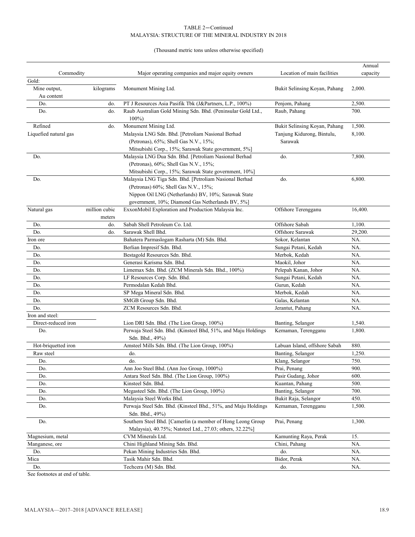#### TABLE 2—Continued MALAYSIA: STRUCTURE OF THE MINERAL INDUSTRY IN 2018

#### (Thousand metric tons unless otherwise specified)

|                       |                         |                                                                                                                         |                               | Annual   |
|-----------------------|-------------------------|-------------------------------------------------------------------------------------------------------------------------|-------------------------------|----------|
| Commodity             |                         | Major operating companies and major equity owners                                                                       | Location of main facilities   | capacity |
| Gold:                 |                         |                                                                                                                         |                               |          |
| Mine output,          | kilograms               | Monument Mining Ltd.                                                                                                    | Bukit Selinsing Koyan, Pahang | 2,000.   |
| Au content            |                         |                                                                                                                         |                               |          |
| Do.                   | do.                     | PT J Resources Asia Pasifik Tbk (J&Partners, L.P., 100%)                                                                | Penjom, Pahang                | 2,500.   |
| Do.                   | do.                     | Raub Australian Gold Mining Sdn. Bhd. (Peninsular Gold Ltd.,                                                            | Raub, Pahang                  | 700.     |
|                       |                         | $100\%$                                                                                                                 |                               |          |
| Refined               | do.                     | Monument Mining Ltd.                                                                                                    | Bukit Selinsing Koyan, Pahang | 1,500.   |
| Liquefied natural gas |                         | Malaysia LNG Sdn. Bhd. [Petroliam Nasional Berhad<br>Tanjung Kidurong, Bintulu,                                         |                               | 8,100.   |
|                       |                         | (Petronas), 65%; Shell Gas N.V., 15%;                                                                                   | Sarawak                       |          |
|                       |                         | Mitsubishi Corp., 15%; Sarawak State government, 5%]                                                                    |                               |          |
| Do.                   |                         | Malaysia LNG Dua Sdn. Bhd. [Petroliam Nasional Berhad                                                                   | do.                           | 7,800.   |
|                       |                         | (Petronas), 60%; Shell Gas N.V., 15%;                                                                                   |                               |          |
|                       |                         | Mitsubishi Corp., 15%; Sarawak State government, 10%]                                                                   |                               |          |
| Do.                   |                         | Malaysia LNG Tiga Sdn. Bhd. [Petroliam Nasional Berhad                                                                  | do.                           | 6,800.   |
|                       |                         | (Petronas) 60%; Shell Gas N.V., 15%;                                                                                    |                               |          |
|                       |                         | Nippon Oil LNG (Netherlands) BV, 10%; Sarawak State                                                                     |                               |          |
|                       |                         | government, 10%; Diamond Gas Netherlands BV, 5%]                                                                        |                               |          |
| Natural gas           | million cubic<br>meters | ExxonMobil Exploration and Production Malaysia Inc.                                                                     | Offshore Terengganu           | 16,400.  |
| Do.                   | do.                     | Sabah Shell Petroleum Co. Ltd.                                                                                          | Offshore Sabah                | 1,100.   |
| Do.                   | do.                     | Sarawak Shell Bhd.                                                                                                      | Offshore Sarawak              | 29,200.  |
| Iron ore              |                         | Bahatera Parmaslogam Rasharta (M) Sdn. Bhd.                                                                             | Sokor, Kelantan               | NA.      |
| Do.                   |                         | Berlian Impresif Sdn. Bhd.                                                                                              | Sungai Petani, Kedah          | NA.      |
| Do.                   |                         | Bestagold Resources Sdn. Bhd.                                                                                           | Merbok, Kedah                 | NA.      |
| Do.                   |                         | Generasi Karisma Sdn. Bhd.                                                                                              | Maokil, Johor                 | NA.      |
| Do.                   |                         | Limemax Sdn. Bhd. (ZCM Minerals Sdn. Bhd., 100%)                                                                        | Pelepah Kanan, Johor          | NA.      |
| Do.                   |                         | LF Resources Corp. Sdn. Bhd.                                                                                            | Sungai Petani, Kedah          | NA.      |
| Do.                   |                         | Permodalan Kedah Bhd.                                                                                                   | Gurun, Kedah                  | NA.      |
| Do.                   |                         | SP Mega Mineral Sdn. Bhd.                                                                                               | Merbok, Kedah                 | NA.      |
| Do.                   |                         | SMGB Group Sdn. Bhd.                                                                                                    | Galas, Kelantan               | NA.      |
| Do.                   |                         | ZCM Resources Sdn. Bhd.                                                                                                 | Jerantut, Pahang              | NA.      |
| Iron and steel:       |                         |                                                                                                                         |                               |          |
| Direct-reduced iron   |                         | Lion DRI Sdn. Bhd. (The Lion Group, 100%)                                                                               | Banting, Selangor             | 1,540.   |
| Do.                   |                         | Perwaja Steel Sdn. Bhd. (Kinsteel Bhd, 51%, and Maju Holdings<br>Sdn. Bhd., 49%)                                        | Kemaman, Terengganu           | 1,800.   |
| Hot-briquetted iron   |                         | Amsteel Mills Sdn. Bhd. (The Lion Group, 100%)                                                                          | Labuan Island, offshore Sabah | 880.     |
| Raw steel             |                         | do.                                                                                                                     | Banting, Selangor             | 1,250.   |
| Do.                   |                         | do.                                                                                                                     | Klang, Selangor               | 750.     |
| Do.                   |                         | Ann Joo Steel Bhd. (Ann Joo Group, 1000%)                                                                               | Prai, Penang                  | 900.     |
| Do.                   |                         | Antara Steel Sdn. Bhd. (The Lion Group, 100%)                                                                           | Pasir Gudang, Johor           | 600.     |
| Do.                   |                         | Kinsteel Sdn. Bhd.                                                                                                      | Kuantan, Pahang               | 500.     |
| Do.                   |                         | Megasteel Sdn. Bhd. (The Lion Group, 100%)                                                                              | Banting, Selangor             | 700.     |
| Do.                   |                         | Malaysia Steel Works Bhd.                                                                                               | Bukit Raja, Selangor          | 450.     |
| Do.                   |                         | Perwaja Steel Sdn. Bhd. (Kinsteel Bhd., 51%, and Maju Holdings<br>Sdn. Bhd., 49%)                                       | Kemaman, Terengganu           | 1,500.   |
| Do.                   |                         | Southern Steel Bhd. [Camerlin (a member of Hong Leong Group<br>Malaysia), 40.75%; Natsteel Ltd., 27.03; others, 32.22%] | Prai, Penang                  | 1,300.   |
| Magnesium, metal      |                         | CVM Minerals Ltd.                                                                                                       | Kamunting Raya, Perak         | 15.      |
| Manganese, ore        |                         | Chini Highland Mining Sdn. Bhd.                                                                                         | Chini, Pahang                 | NA.      |
| Do.                   |                         | Pekan Mining Industries Sdn. Bhd.                                                                                       | do.                           | NA.      |
| Mica                  |                         | Tasik Mahir Sdn. Bhd.                                                                                                   | Bidor, Perak                  | NA.      |
| Do.                   |                         | Techcera (M) Sdn. Bhd.                                                                                                  | do.                           | NA.      |

See footnotes at end of table.